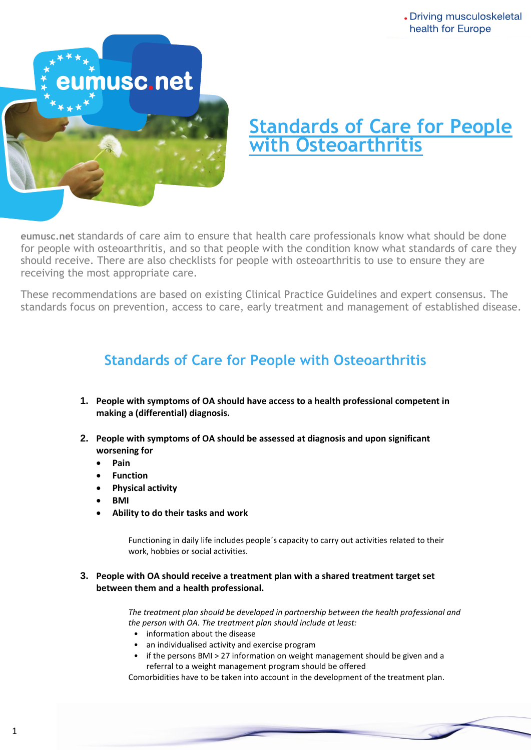

# **Standards of Care for People with Osteoarthritis**

for people with osteoarthritis, and so that people with the condition know what standards of care they should receive. There are also checklists for people with osteoarthritis to use to ensure they are **eumusc.net** standards of care aim to ensure that health care professionals know what should be done receiving the most appropriate care.

These recommendations are based on existing Clinical Practice Guidelines and expert consensus. The standards focus on prevention, access to care, early treatment and management of established disease.

## **Standards of Care for People with Osteoarthritis**

- **1. People with symptoms of OA should have access to a health professional competent in making a (differential) diagnosis.**
- **2. People with symptoms of OA should be assessed at diagnosis and upon significant worsening for**
	- **Pain**
	- **Function**
	- **Physical activity**
	- **BMI**
	- **Ability to do their tasks and work**

Functioning in daily life includes people´s capacity to carry out activities related to their work, hobbies or social activities.

#### **3. People with OA should receive a treatment plan with a shared treatment target set between them and a health professional.**

*The treatment plan should be developed in partnership between the health professional and the person with OA. The treatment plan should include at least:* 

- information about the disease
- an individualised activity and exercise program
- if the persons BMI > 27 information on weight management should be given and a referral to a weight management program should be offered

Comorbidities have to be taken into account in the development of the treatment plan.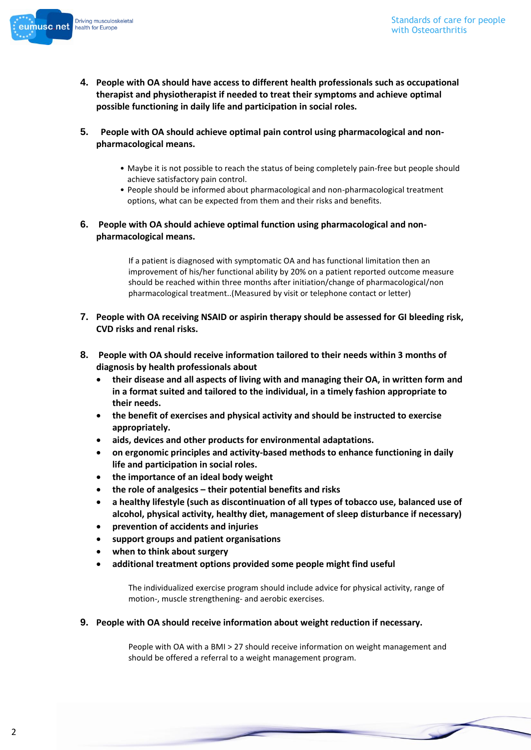

- **4. People with OA should have access to different health professionals such as occupational therapist and physiotherapist if needed to treat their symptoms and achieve optimal possible functioning in daily life and participation in social roles.**
- **5. People with OA should achieve optimal pain control using pharmacological and nonpharmacological means.**
	- Maybe it is not possible to reach the status of being completely pain-free but people should achieve satisfactory pain control.
	- People should be informed about pharmacological and non-pharmacological treatment options, what can be expected from them and their risks and benefits.
- **6. People with OA should achieve optimal function using pharmacological and nonpharmacological means.**

If a patient is diagnosed with symptomatic OA and has functional limitation then an improvement of his/her functional ability by 20% on a patient reported outcome measure should be reached within three months after initiation/change of pharmacological/non pharmacological treatment..(Measured by visit or telephone contact or letter)

- **7. People with OA receiving NSAID or aspirin therapy should be assessed for GI bleeding risk, CVD risks and renal risks.**
- **8. People with OA should receive information tailored to their needs within 3 months of diagnosis by health professionals about**
	- **their disease and all aspects of living with and managing their OA, in written form and in a format suited and tailored to the individual, in a timely fashion appropriate to their needs.**
	- **the benefit of exercises and physical activity and should be instructed to exercise appropriately.**
	- **aids, devices and other products for environmental adaptations.**
	- **on ergonomic principles and activity-based methods to enhance functioning in daily life and participation in social roles.**
	- **the importance of an ideal body weight**
	- **the role of analgesics – their potential benefits and risks**
	- **a healthy lifestyle (such as discontinuation of all types of tobacco use, balanced use of alcohol, physical activity, healthy diet, management of sleep disturbance if necessary)**
	- **prevention of accidents and injuries**
	- **support groups and patient organisations**
	- **when to think about surgery**
	- **additional treatment options provided some people might find useful**

The individualized exercise program should include advice for physical activity, range of motion-, muscle strengthening- and aerobic exercises.

**9. People with OA should receive information about weight reduction if necessary.**

People with OA with a BMI > 27 should receive information on weight management and should be offered a referral to a weight management program.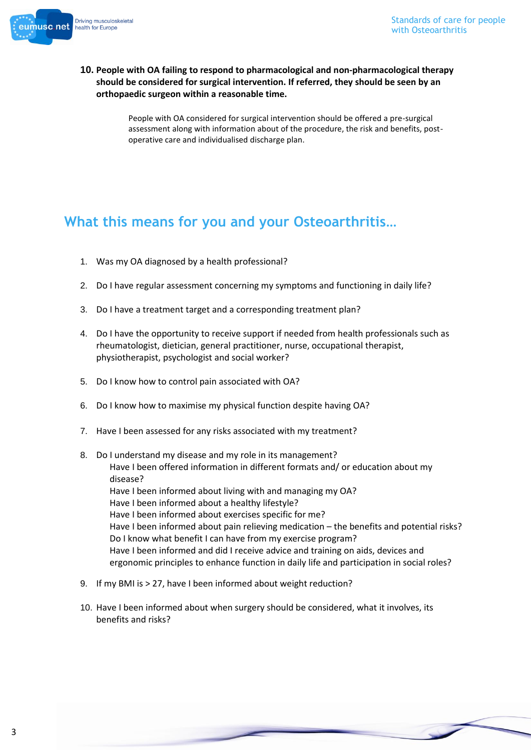

#### **10. People with OA failing to respond to pharmacological and non-pharmacological therapy should be considered for surgical intervention. If referred, they should be seen by an orthopaedic surgeon within a reasonable time.**

People with OA considered for surgical intervention should be offered a pre-surgical assessment along with information about of the procedure, the risk and benefits, postoperative care and individualised discharge plan.

### **What this means for you and your Osteoarthritis…**

- 1. Was my OA diagnosed by a health professional?
- 2. Do I have regular assessment concerning my symptoms and functioning in daily life?
- 3. Do I have a treatment target and a corresponding treatment plan?
- 4. Do I have the opportunity to receive support if needed from health professionals such as rheumatologist, dietician, general practitioner, nurse, occupational therapist, physiotherapist, psychologist and social worker?
- 5. Do I know how to control pain associated with OA?
- 6. Do I know how to maximise my physical function despite having OA?
- 7. Have I been assessed for any risks associated with my treatment?
- 8. Do I understand my disease and my role in its management? Have I been offered information in different formats and/ or education about my disease? Have I been informed about living with and managing my OA? Have I been informed about a healthy lifestyle? Have I been informed about exercises specific for me? Have I been informed about pain relieving medication – the benefits and potential risks? Do I know what benefit I can have from my exercise program? Have I been informed and did I receive advice and training on aids, devices and ergonomic principles to enhance function in daily life and participation in social roles?
- 9. If my BMI is > 27, have I been informed about weight reduction?
- 10. Have I been informed about when surgery should be considered, what it involves, its benefits and risks?